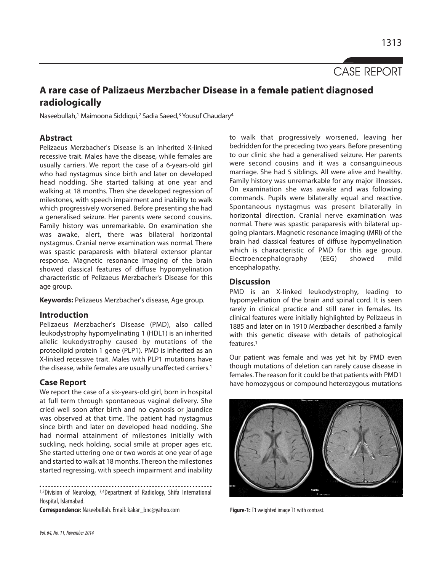CASE REPORT

# **A rare case of Palizaeus Merzbacher Disease in a female patient diagnosed radiologically**

Naseebullah,<sup>1</sup> Maimoona Siddiqui,<sup>2</sup> Sadia Saeed,<sup>3</sup> Yousuf Chaudary<sup>4</sup>

## **Abstract**

Pelizaeus Merzbacher's Disease is an inherited X-linked recessive trait. Males have the disease, while females are usually carriers. We report the case of a 6-years-old girl who had nystagmus since birth and later on developed head nodding. She started talking at one year and walking at 18 months. Then she developed regression of milestones, with speech impairment and inability to walk which progressively worsened. Before presenting she had a generalised seizure. Her parents were second cousins. Family history was unremarkable. On examination she was awake, alert, there was bilateral horizontal nystagmus. Cranial nerve examination was normal. There was spastic paraparesis with bilateral extensor plantar response. Magnetic resonance imaging of the brain showed classical features of diffuse hypomyelination characteristic of Pelizaeus Merzbacher's Disease for this age group.

**Keywords:** Pelizaeus Merzbacher's disease, Age group.

## **Introduction**

Pelizaeus Merzbacher's Disease (PMD), also called leukodystrophy hypomyelinating 1 (HDL1) is an inherited allelic leukodystrophy caused by mutations of the proteolipid protein 1 gene (PLP1). PMD is inherited as an X-linked recessive trait. Males with PLP1 mutations have the disease, while females are usually unaffected carriers.<sup>1</sup>

## **Case Report**

We report the case of a six-years-old girl, born in hospital at full term through spontaneous vaginal delivery. She cried well soon after birth and no cyanosis or jaundice was observed at that time. The patient had nystagmus since birth and later on developed head nodding. She had normal attainment of milestones initially with suckling, neck holding, social smile at proper ages etc. She started uttering one or two words at one year of age and started to walk at 18 months. Thereon the milestones started regressing, with speech impairment and inability

1,2Division of Neurology, 3,4Department of Radiology, Shifa International Hospital, Islamabad.

Correspondence: Naseebullah. Email: kakar\_bnc@yahoo.com **Figure-1:** T1 weighted image T1 with contrast.

to walk that progressively worsened, leaving her bedridden for the preceding two years. Before presenting to our clinic she had a generalised seizure. Her parents were second cousins and it was a consanguineous marriage. She had 5 siblings. All were alive and healthy. Family history was unremarkable for any major illnesses. On examination she was awake and was following commands. Pupils were bilaterally equal and reactive. Spontaneous nystagmus was present bilaterally in horizontal direction. Cranial nerve examination was normal. There was spastic paraparesis with bilateral upgoing plantars. Magnetic resonance imaging (MRI) of the brain had classical features of diffuse hypomyelination which is characteristic of PMD for this age group. Electroencephalography (EEG) showed mild encephalopathy.

#### **Discussion**

PMD is an X-linked leukodystrophy, leading to hypomyelination of the brain and spinal cord. It is seen rarely in clinical practice and still rarer in females. Its clinical features were initially highlighted by Pelizaeus in 1885 and later on in 1910 Merzbacher described a family with this genetic disease with details of pathological features.<sup>1</sup>

Our patient was female and was yet hit by PMD even though mutations of deletion can rarely cause disease in females. The reason for it could be that patients with PMD1 have homozygous or compound heterozygous mutations